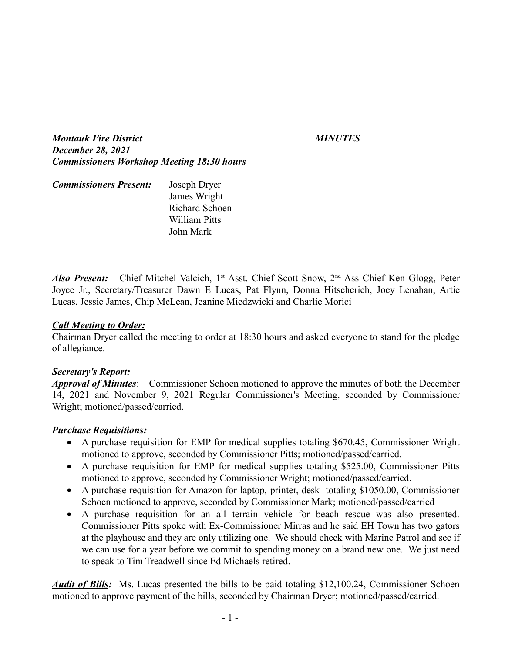*Montauk Fire District MINUTES December 28, 2021 Commissioners Workshop Meeting 18:30 hours*

| <b>Commissioners Present:</b> | Joseph Dryer         |
|-------------------------------|----------------------|
|                               | James Wright         |
|                               | Richard Schoen       |
|                               | <b>William Pitts</b> |
|                               | John Mark            |

*Also Present:* Chief Mitchel Valcich, 1<sup>st</sup> Asst. Chief Scott Snow, 2<sup>nd</sup> Ass Chief Ken Glogg, Peter Joyce Jr., Secretary/Treasurer Dawn E Lucas, Pat Flynn, Donna Hitscherich, Joey Lenahan, Artie Lucas, Jessie James, Chip McLean, Jeanine Miedzwieki and Charlie Morici

## *Call Meeting to Order:*

Chairman Dryer called the meeting to order at 18:30 hours and asked everyone to stand for the pledge of allegiance.

#### *Secretary's Report:*

*Approval of Minutes*: Commissioner Schoen motioned to approve the minutes of both the December 14, 2021 and November 9, 2021 Regular Commissioner's Meeting, seconded by Commissioner Wright; motioned/passed/carried.

## *Purchase Requisitions:*

- A purchase requisition for EMP for medical supplies totaling \$670.45, Commissioner Wright motioned to approve, seconded by Commissioner Pitts; motioned/passed/carried.
- A purchase requisition for EMP for medical supplies totaling \$525.00, Commissioner Pitts motioned to approve, seconded by Commissioner Wright; motioned/passed/carried.
- A purchase requisition for Amazon for laptop, printer, desk totaling \$1050.00, Commissioner Schoen motioned to approve, seconded by Commissioner Mark; motioned/passed/carried
- A purchase requisition for an all terrain vehicle for beach rescue was also presented. Commissioner Pitts spoke with Ex-Commissioner Mirras and he said EH Town has two gators at the playhouse and they are only utilizing one. We should check with Marine Patrol and see if we can use for a year before we commit to spending money on a brand new one. We just need to speak to Tim Treadwell since Ed Michaels retired.

*Audit of Bills:* Ms. Lucas presented the bills to be paid totaling \$12,100.24, Commissioner Schoen motioned to approve payment of the bills, seconded by Chairman Dryer; motioned/passed/carried.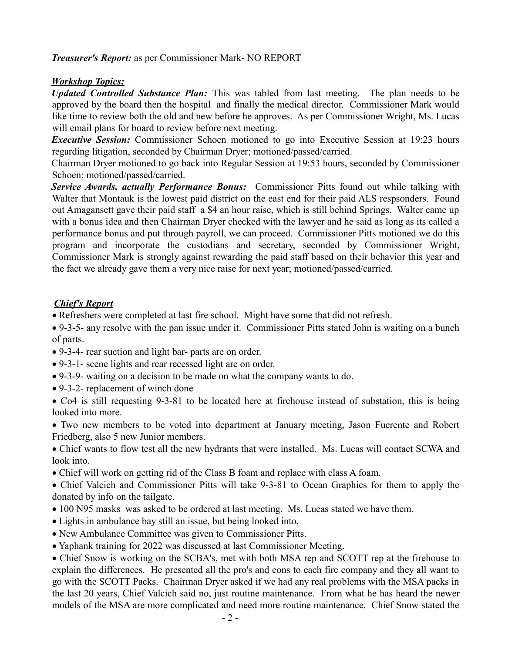*Treasurer's Report:* as per Commissioner Mark- NO REPORT

## *Workshop Topics:*

*Updated Controlled Substance Plan:* This was tabled from last meeting. The plan needs to be approved by the board then the hospital and finally the medical director. Commissioner Mark would like time to review both the old and new before he approves. As per Commissioner Wright, Ms. Lucas will email plans for board to review before next meeting.

*Executive Session:* Commissioner Schoen motioned to go into Executive Session at 19:23 hours regarding litigation, seconded by Chairman Dryer; motioned/passed/carried.

Chairman Dryer motioned to go back into Regular Session at 19:53 hours, seconded by Commissioner Schoen; motioned/passed/carried.

*Service Awards, actually Performance Bonus:* Commissioner Pitts found out while talking with Walter that Montauk is the lowest paid district on the east end for their paid ALS respsonders. Found out Amagansett gave their paid staff a \$4 an hour raise, which is still behind Springs. Walter came up with a bonus idea and then Chairman Dryer checked with the lawyer and he said as long as its called a performance bonus and put through payroll, we can proceed. Commissioner Pitts motioned we do this program and incorporate the custodians and secretary, seconded by Commissioner Wright, Commissioner Mark is strongly against rewarding the paid staff based on their behavior this year and the fact we already gave them a very nice raise for next year; motioned/passed/carried.

# *Chief's Report*

- · Refreshers were completed at last fire school. Might have some that did not refresh.
- · 9-3-5- any resolve with the pan issue under it. Commissioner Pitts stated John is waiting on a bunch of parts.
- · 9-3-4- rear suction and light bar- parts are on order.
- · 9-3-1- scene lights and rear recessed light are on order.
- · 9-3-9- waiting on a decision to be made on what the company wants to do.
- · 9-3-2- replacement of winch done

· Co4 is still requesting 9-3-81 to be located here at firehouse instead of substation, this is being looked into more.

· Two new members to be voted into department at January meeting, Jason Fuerente and Robert Friedberg, also 5 new Junior members.

· Chief wants to flow test all the new hydrants that were installed. Ms. Lucas will contact SCWA and look into.

· Chief will work on getting rid of the Class B foam and replace with class A foam.

· Chief Valcich and Commissioner Pitts will take 9-3-81 to Ocean Graphics for them to apply the donated by info on the tailgate.

- · 100 N95 masks was asked to be ordered at last meeting. Ms. Lucas stated we have them.
- · Lights in ambulance bay still an issue, but being looked into.
- · New Ambulance Committee was given to Commissioner Pitts.
- · Yaphank training for 2022 was discussed at last Commissioner Meeting.

· Chief Snow is working on the SCBA's, met with both MSA rep and SCOTT rep at the firehouse to explain the differences. He presented all the pro's and cons to each fire company and they all want to go with the SCOTT Packs. Chairman Dryer asked if we had any real problems with the MSA packs in the last 20 years, Chief Valcich said no, just routine maintenance. From what he has heard the newer models of the MSA are more complicated and need more routine maintenance. Chief Snow stated the